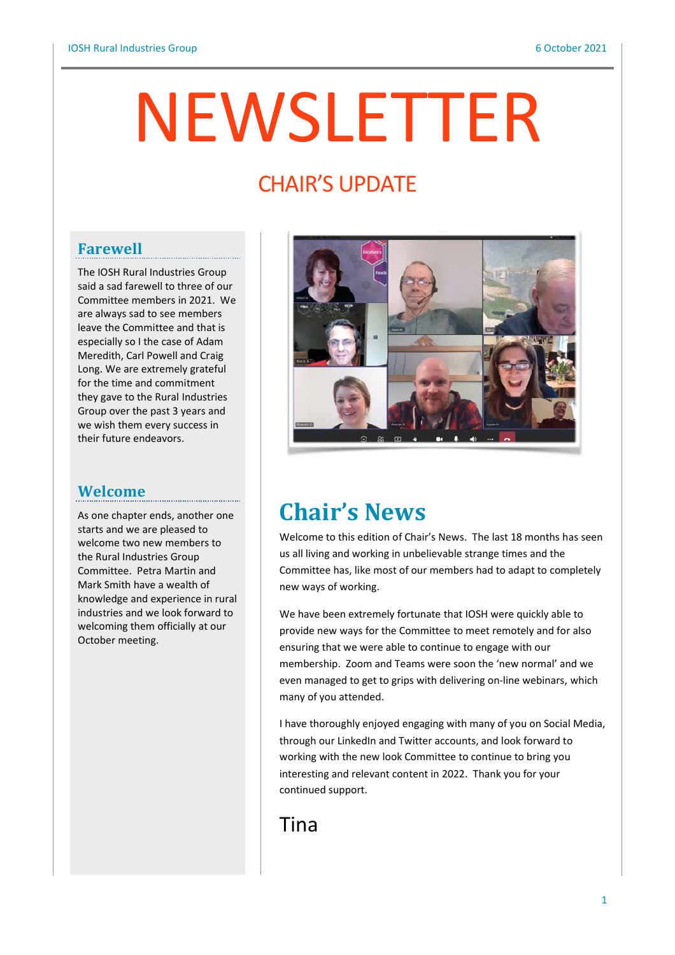# NEWSLETTER

# **CHAIR'S UPDATE**

## **Farewell**

The IOSH Rural Industries Group said a sad farewell to three of our Committee members in 2021. We are always sad to see members leave the Committee and that is especially so I the case of Adam Meredith, Carl Powell and Craig Long. We are extremely grateful for the time and commitment they gave to the Rural Industries Group over the past 3 years and we wish them every success in their future endeavors.

## **Welcome**

As one chapter ends, another one starts and we are pleased to welcome two new members to the Rural Industries Group Committee. Petra Martin and Mark Smith have a wealth of knowledge and experience in rural industries and we look forward to welcoming them officially at our October meeting.



## **Chair's News**

Welcome to this edition of Chair's News. The last 18 months has seen us all living and working in unbelievable strange times and the Committee has, like most of our members had to adapt to completely new ways of working.

We have been extremely fortunate that IOSH were quickly able to provide new ways for the Committee to meet remotely and for also ensuring that we were able to continue to engage with our membership. Zoom and Teams were soon the 'new normal' and we even managed to get to grips with delivering on-line webinars, which many of you attended.

I have thoroughly enjoyed engaging with many of you on Social Media, through our LinkedIn and Twitter accounts, and look forward to working with the new look Committee to continue to bring you interesting and relevant content in 2022. Thank you for your continued support.

Tina